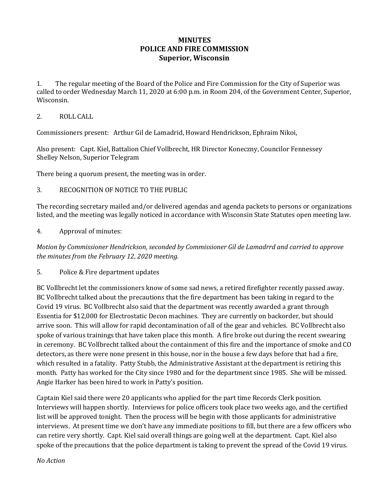# **MINUTES POLICE AND FIRE COMMISSION Superior, Wisconsin**

1. The regular meeting of the Board of the Police and Fire Commission for the City of Superior was called to order Wednesday March 11, 2020 at 6:00 p.m. in Room 204, of the Government Center, Superior, Wisconsin.

#### 2. ROLL CALL

Commissioners present: Arthur Gil de Lamadrid, Howard Hendrickson, Ephraim Nikoi,

Also present: Capt. Kiel, Battalion Chief Vollbrecht, HR Director Koneczny, Councilor Fennessey Shelley Nelson, Superior Telegram

There being a quorum present, the meeting was in order.

## 3. RECOGNITION OF NOTICE TO THE PUBLIC

The recording secretary mailed and/or delivered agendas and agenda packets to persons or organizations listed, and the meeting was legally noticed in accordance with Wisconsin State Statutes open meeting law.

## 4. Approval of minutes:

*Motion by Commissioner Hendrickson, seconded by Commissioner Gil de Lamadrrd and carried to approve the minutes from the February 12, 2020 meeting.* 

5. Police & Fire department updates

BC Vollbrecht let the commissioners know of some sad news, a retired firefighter recently passed away. BC Vollbrecht talked about the precautions that the fire department has been taking in regard to the Covid 19 virus. BC Vollbrecht also said that the department was recently awarded a grant through Essentia for \$12,000 for Electrostatic Decon machines. They are currently on backorder, but should arrive soon. This will allow for rapid decontamination of all of the gear and vehicles. BC Vollbrecht also spoke of various trainings that have taken place this month. A fire broke out during the recent swearing in ceremony. BC Vollbrecht talked about the containment of this fire and the importance of smoke and CO detectors, as there were none present in this house, nor in the house a few days before that had a fire, which resulted in a fatality. Patty Stubb, the Administrative Assistant at the department is retiring this month. Patty has worked for the City since 1980 and for the department since 1985. She will be missed. Angie Harker has been hired to work in Patty's position.

Captain Kiel said there were 20 applicants who applied for the part time Records Clerk position. Interviews will happen shortly. Interviews for police officers took place two weeks ago, and the certified list will be approved tonight. Then the process will be begin with those applicants for administrative interviews. At present time we don't have any immediate positions to fill, but there are a few officers who can retire very shortly. Capt. Kiel said overall things are going well at the department. Capt. Kiel also spoke of the precautions that the police department is taking to prevent the spread of the Covid 19 virus.

#### *No Action*